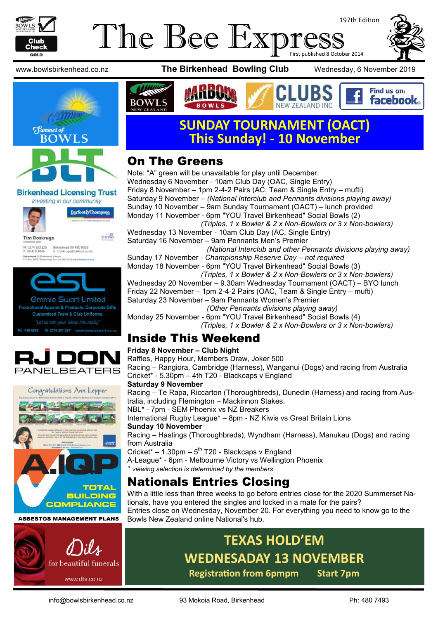

#### The Bee Expi 197th Edition First published 8 October 2014



**Birkenhead Licensing Trust** Investing in our community



M: 0274 923 125 Birkenhead 09 480 9029<br>P: 09 418 3846 E: troskruge@barfoot.co ead 24 B







#### **ASBESTOS MANAGEMENT PLANS**



www.bowlsbirkenhead.co.nz **The Birkenhead Bowling Club** Wednesday, 6 November 2019



Find us on: facebook.



## **SUNDAY TOURNAMENT (OACT) This Sunday! - 10 November**

**NEW ZEALAND INC** 

### On The Greens

Note: "A" green will be unavailable for play until December. Wednesday 6 November - 10am Club Day (OAC, Single Entry) Friday 8 November – 1pm 2-4-2 Pairs (AC, Team & Single Entry – mufti) Saturday 9 November – *(National Interclub and Pennants divisions playing away)* Sunday 10 November – 9am Sunday Tournament (OACT) – lunch provided Monday 11 November - 6pm "YOU Travel Birkenhead" Social Bowls (2) *(Triples, 1 x Bowler & 2 x Non-Bowlers or 3 x Non-bowlers)* Wednesday 13 November - 10am Club Day (AC, Single Entry) Saturday 16 November – 9am Pennants Men's Premier *(National Interclub and other Pennants divisions playing away)* Sunday 17 November - *Championship Reserve Day – not required* Monday 18 November - 6pm "YOU Travel Birkenhead" Social Bowls (3)  *(Triples, 1 x Bowler & 2 x Non-Bowlers or 3 x Non-bowlers)* Wednesday 20 November – 9.30am Wednesday Tournament (OACT) – BYO lunch Friday 22 November – 1pm 2-4-2 Pairs (OAC, Team & Single Entry – mufti) Saturday 23 November – 9am Pennants Women's Premier *(Other Pennants divisions playing away)* Monday 25 November - 6pm "YOU Travel Birkenhead" Social Bowls (4)  *(Triples, 1 x Bowler & 2 x Non-Bowlers or 3 x Non-bowlers)*

### Inside This Weekend

#### **Friday 8 November – Club Night**

Raffles, Happy Hour, Members Draw, Joker 500 Racing – Rangiora, Cambridge (Harness), Wanganui (Dogs) and racing from Australia Cricket\* - 5.30pm – 4th T20 - Blackcaps v England

#### **Saturday 9 November**

Racing – Te Rapa, Riccarton (Thoroughbreds), Dunedin (Harness) and racing from Australia, including Flemington – Mackinnon Stakes.

NBL\* - 7pm - SEM Phoenix vs NZ Breakers

International Rugby League\* – 8pm - NZ Kiwis vs Great Britain Lions **Sunday 10 November**

Racing – Hastings (Thoroughbreds), Wyndham (Harness), Manukau (Dogs) and racing from Australia

Cricket\*  $-$  1.30pm  $-5$ <sup>th</sup> T20 - Blackcaps v England A-League\* - 6pm - Melbourne Victory vs Wellington Phoenix

#### *\* viewing selection is determined by the members*

### Nationals Entries Closing

With a little less than three weeks to go before entries close for the 2020 Summerset Nationals, have you entered the singles and locked in a mate for the pairs? Entries close on Wednesday, November 20. For everything you need to know go to the Bowls New Zealand online National's hub.

# **TEXAS HOLD'EM WEDNESADAY 13 NOVEMBER**

**Registration from 6pmpm Start 7pm**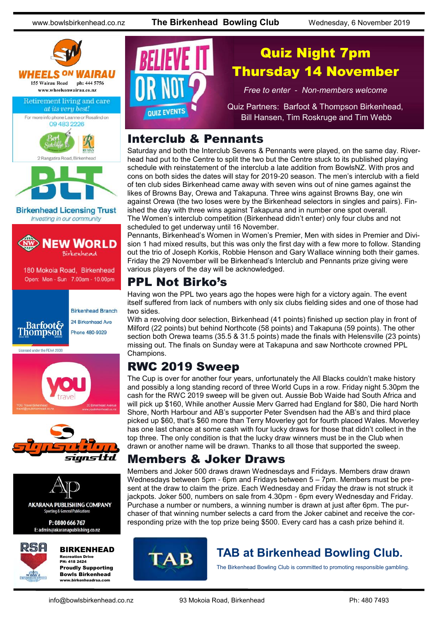www.bowlsbirkenhead.co.nz **The Birkenhead Bowling Club** Wednesday, 6 November 2019





**Birkenhead Licensing Trust** Investing in our community



180 Mokoia Road, Birkenhead Open: Mon - Sun 7.00am - 10.00pm



Licensed under the REAA 2008







**AKARANA PUBLISHING COMPANY** Sporting & General Publication

P: 0800 666 767 E: admin@akaranapublishing.co.nz



#### BIRKENHEAD

Recreation Drive PH: 418 2424 Proudly Supporting Bowls Birkenhead www.birkenheadrsa.com



## Quiz Night 7pm Thursday 14 November

*Free to enter - Non-members welcome*

Quiz Partners: Barfoot & Thompson Birkenhead, Bill Hansen, Tim Roskruge and Tim Webb

#### Interclub & Pennants

Saturday and both the Interclub Sevens & Pennants were played, on the same day. Riverhead had put to the Centre to split the two but the Centre stuck to its published playing schedule with reinstatement of the interclub a late addition from BowlsNZ. With pros and cons on both sides the dates will stay for 2019-20 season. The men's interclub with a field of ten club sides Birkenhead came away with seven wins out of nine games against the likes of Browns Bay, Orewa and Takapuna. Three wins against Browns Bay, one win against Orewa (the two loses were by the Birkenhead selectors in singles and pairs). Finished the day with three wins against Takapuna and in number one spot overall. The Women's interclub competition (Birkenhead didn't enter) only four clubs and not scheduled to get underway until 16 November.

Pennants, Birkenhead's Women in Women's Premier, Men with sides in Premier and Division 1 had mixed results, but this was only the first day with a few more to follow. Standing out the trio of Joseph Korkis, Robbie Henson and Gary Wallace winning both their games. Friday the 29 November will be Birkenhead's Interclub and Pennants prize giving were various players of the day will be acknowledged.

#### PPL Not Birko's

Having won the PPL two years ago the hopes were high for a victory again. The event itself suffered from lack of numbers with only six clubs fielding sides and one of those had two sides.

With a revolving door selection, Birkenhead (41 points) finished up section play in front of Milford (22 points) but behind Northcote (58 points) and Takapuna (59 points). The other section both Orewa teams (35.5 & 31.5 points) made the finals with Helensville (23 points) missing out. The finals on Sunday were at Takapuna and saw Northcote crowned PPL Champions.

#### RWC 2019 Sweep

The Cup is over for another four years, unfortunately the All Blacks couldn't make history and possibly a long standing record of three World Cups in a row. Friday night 5.30pm the cash for the RWC 2019 sweep will be given out. Aussie Bob Waide had South Africa and will pick up \$160, While another Aussie Merv Garred had England for \$80, Die hard North Shore, North Harbour and AB's supporter Peter Svendsen had the AB's and third place picked up \$60, that's \$60 more than Terry Moverley got for fourth placed Wales. Moverley has one last chance at some cash with four lucky draws for those that didn't collect in the top three. The only condition is that the lucky draw winners must be in the Club when drawn or another name will be drawn. Thanks to all those that supported the sweep.

#### Members & Joker Draws

Members and Joker 500 draws drawn Wednesdays and Fridays. Members draw drawn Wednesdays between 5pm - 6pm and Fridays between 5 – 7pm. Members must be present at the draw to claim the prize. Each Wednesday and Friday the draw is not struck it jackpots. Joker 500, numbers on sale from 4.30pm - 6pm every Wednesday and Friday. Purchase a number or numbers, a winning number is drawn at just after 6pm. The purchaser of that winning number selects a card from the Joker cabinet and receive the corresponding prize with the top prize being \$500. Every card has a cash prize behind it.



### **TAB at Birkenhead Bowling Club.**

The Birkenhead Bowling Club is committed to promoting responsible gambling.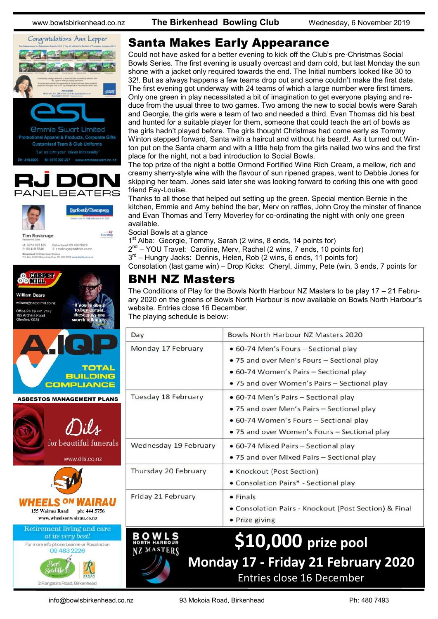





M: 0274 923 125 Birkenhead 09 480 9029<br>P: 09 418 3846 E: troskruge@barfoot.co.nz **Birkenhead 24 Britannia**<br>P.O.Rox MAST? Reserve ad Avenue<br>red Fax: 09.480.9018 www.barfoot.co.nz

**Starship** 



www.wheelsonwairau.co.nz **Retirement living and care** at its very best! For more info phone Leanne or Rosalind on

09 483 2226

2 Rangatira Road, Birkenhead

#### Santa Makes Early Appearance

Could not have asked for a better evening to kick off the Club's pre-Christmas Social Bowls Series. The first evening is usually overcast and darn cold, but last Monday the sun shone with a jacket only required towards the end. The Initial numbers looked like 30 to 32!. But as always happens a few teams drop out and some couldn't make the first date. The first evening got underway with 24 teams of which a large number were first timers. Only one green in play necessitated a bit of imagination to get everyone playing and reduce from the usual three to two games. Two among the new to social bowls were Sarah and Georgie, the girls were a team of two and needed a third. Evan Thomas did his best and hunted for a suitable player for them, someone that could teach the art of bowls as the girls hadn't played before. The girls thought Christmas had come early as Tommy Winton stepped forward, Santa with a haircut and without his beard!. As it turned out Winton put on the Santa charm and with a little help from the girls nailed two wins and the first place for the night, not a bad introduction to Social Bowls.

The top prize of the night a bottle Ormond Fortified Wine Rich Cream, a mellow, rich and creamy sherry-style wine with the flavour of sun ripened grapes, went to Debbie Jones for skipping her team. Jones said later she was looking forward to corking this one with good friend Fay-Louise.

Thanks to all those that helped out setting up the green. Special mention Bernie in the kitchen, Emmie and Amy behind the bar, Merv on raffles, John Croy the minster of finance and Evan Thomas and Terry Moverley for co-ordinating the night with only one green available.

Social Bowls at a glance

MASTERS

1<sup>st</sup> Alba: Georgie, Tommy, Sarah (2 wins, 8 ends, 14 points for)

2<sup>nd</sup> – YOU Travel: Caroline, Merv, Rachel (2 wins, 7 ends, 10 points for)

3<sup>rd</sup> – Hungry Jacks: Dennis, Helen, Rob (2 wins, 6 ends, 11 points for)

Consolation (last game win) – Drop Kicks: Cheryl, Jimmy, Pete (win, 3 ends, 7 points for

#### BNH NZ Masters

The Conditions of Play for the Bowls North Harbour NZ Masters to be play 17 – 21 February 2020 on the greens of Bowls North Harbour is now available on Bowls North Harbour's website. Entries close 16 December. The playing schedule is below:

| Day                   | Bowls North Harbour NZ Masters 2020                                                                                                                                          |
|-----------------------|------------------------------------------------------------------------------------------------------------------------------------------------------------------------------|
| Monday 17 February    | • 60-74 Men's Fours – Sectional play<br>. 75 and over Men's Fours - Sectional play<br>• 60-74 Women's Pairs - Sectional play<br>• 75 and over Women's Pairs – Sectional play |
| Tuesday 18 February   | • 60-74 Men's Pairs - Sectional play<br>• 75 and over Men's Pairs - Sectional play<br>• 60-74 Women's Fours – Sectional play<br>• 75 and over Women's Fours – Sectional play |
| Wednesday 19 February | • 60-74 Mixed Pairs – Sectional play<br>. 75 and over Mixed Pairs - Sectional play                                                                                           |
| Thursday 20 February  | • Knockout (Post Section)<br>• Consolation Pairs* - Sectional play                                                                                                           |
| Friday 21 February    | $\bullet$ Finals<br>• Consolation Pairs - Knockout (Post Section) & Final<br>• Prize giving                                                                                  |

## **\$10,000 prize pool Monday 17 - Friday 21 February 2020** Entries close 16 December

info@bowlsbirkenhead.co.nz 93 Mokoia Road, Birkenhead Ph: 480 7493